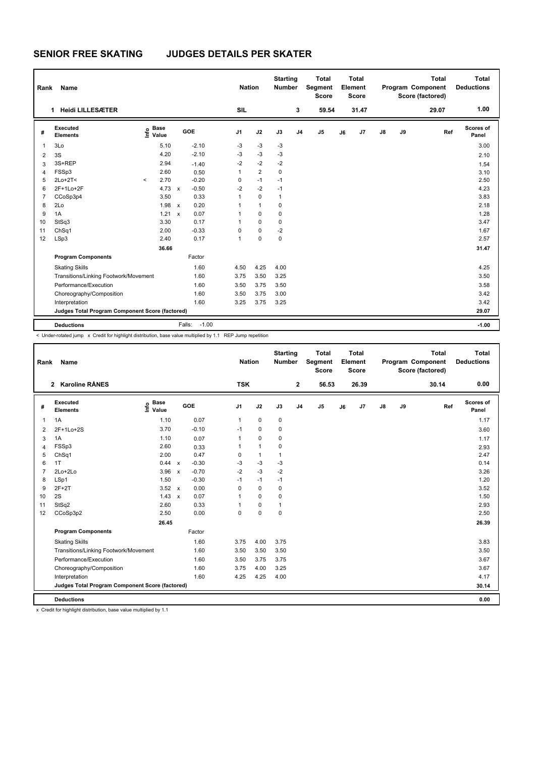## **SENIOR FREE SKATING JUDGES DETAILS PER SKATER**

| Rank                                            | Name                                  |          |                                  |              |                   | <b>Nation</b>  |                | <b>Starting</b><br><b>Number</b> |                | <b>Total</b><br>Segment<br><b>Score</b> |    | <b>Total</b><br>Element<br><b>Score</b> |               |    | <b>Total</b><br>Program Component<br>Score (factored) | <b>Total</b><br><b>Deductions</b> |
|-------------------------------------------------|---------------------------------------|----------|----------------------------------|--------------|-------------------|----------------|----------------|----------------------------------|----------------|-----------------------------------------|----|-----------------------------------------|---------------|----|-------------------------------------------------------|-----------------------------------|
|                                                 | <b>Heidi LILLESÆTER</b><br>1          |          |                                  |              |                   | <b>SIL</b>     |                |                                  | 3              | 59.54                                   |    | 31.47                                   |               |    | 29.07                                                 | 1.00                              |
| #                                               | Executed<br><b>Elements</b>           |          | <b>Base</b><br>e Base<br>⊆ Value |              | GOE               | J <sub>1</sub> | J2             | J3                               | J <sub>4</sub> | J <sub>5</sub>                          | J6 | J7                                      | $\mathsf{J}8$ | J9 | Ref                                                   | Scores of<br>Panel                |
| 1                                               | 3Lo                                   |          | 5.10                             |              | $-2.10$           | $-3$           | $-3$           | $-3$                             |                |                                         |    |                                         |               |    |                                                       | 3.00                              |
| $\overline{2}$                                  | 3S                                    |          | 4.20                             |              | $-2.10$           | $-3$           | $-3$           | $-3$                             |                |                                         |    |                                         |               |    |                                                       | 2.10                              |
| 3                                               | 3S+REP                                |          | 2.94                             |              | $-1.40$           | $-2$           | $-2$           | $-2$                             |                |                                         |    |                                         |               |    |                                                       | 1.54                              |
| $\overline{4}$                                  | FSSp3                                 |          | 2.60                             |              | 0.50              | 1              | $\overline{2}$ | $\mathbf 0$                      |                |                                         |    |                                         |               |    |                                                       | 3.10                              |
| 5                                               | $2Lo+2T<$                             | $\hat{}$ | 2.70                             |              | $-0.20$           | 0              | $-1$           | $-1$                             |                |                                         |    |                                         |               |    |                                                       | 2.50                              |
| 6                                               | 2F+1Lo+2F                             |          | 4.73                             | $\mathsf{x}$ | $-0.50$           | $-2$           | $-2$           | $-1$                             |                |                                         |    |                                         |               |    |                                                       | 4.23                              |
| $\overline{7}$                                  | CCoSp3p4                              |          | 3.50                             |              | 0.33              | $\mathbf{1}$   | $\mathbf 0$    | $\mathbf{1}$                     |                |                                         |    |                                         |               |    |                                                       | 3.83                              |
| 8                                               | 2Lo                                   |          | 1.98                             | $\mathsf{x}$ | 0.20              | 1              | $\mathbf{1}$   | 0                                |                |                                         |    |                                         |               |    |                                                       | 2.18                              |
| 9                                               | 1A                                    |          | 1.21                             | $\mathsf{x}$ | 0.07              | 1              | $\mathbf 0$    | 0                                |                |                                         |    |                                         |               |    |                                                       | 1.28                              |
| 10                                              | StSq3                                 |          | 3.30                             |              | 0.17              | 1              | $\Omega$       | $\Omega$                         |                |                                         |    |                                         |               |    |                                                       | 3.47                              |
| 11                                              | ChSq1                                 |          | 2.00                             |              | $-0.33$           | $\Omega$       | $\mathbf 0$    | $-2$                             |                |                                         |    |                                         |               |    |                                                       | 1.67                              |
| 12                                              | LSp3                                  |          | 2.40                             |              | 0.17              | 1              | $\mathbf 0$    | $\mathbf 0$                      |                |                                         |    |                                         |               |    |                                                       | 2.57                              |
|                                                 |                                       |          |                                  |              |                   |                |                |                                  |                |                                         |    | 31.47                                   |               |    |                                                       |                                   |
|                                                 | <b>Program Components</b>             |          |                                  |              | Factor            |                |                |                                  |                |                                         |    |                                         |               |    |                                                       |                                   |
|                                                 | <b>Skating Skills</b>                 |          |                                  |              | 1.60              | 4.50           | 4.25           | 4.00                             |                |                                         |    |                                         |               |    |                                                       | 4.25                              |
|                                                 | Transitions/Linking Footwork/Movement |          |                                  |              | 1.60              | 3.75           | 3.50           | 3.25                             |                |                                         |    |                                         |               |    |                                                       | 3.50                              |
|                                                 | Performance/Execution                 |          |                                  |              | 1.60              | 3.50           | 3.75           | 3.50                             |                |                                         |    |                                         |               |    |                                                       | 3.58                              |
|                                                 | Choreography/Composition              |          |                                  |              | 1.60              | 3.50           | 3.75           | 3.00                             |                |                                         |    |                                         |               |    |                                                       | 3.42                              |
|                                                 | Interpretation                        |          |                                  |              | 1.60              | 3.25           | 3.75           | 3.25                             |                |                                         |    |                                         |               |    |                                                       | 3.42                              |
| Judges Total Program Component Score (factored) |                                       |          |                                  |              |                   |                |                |                                  |                |                                         |    |                                         | 29.07         |    |                                                       |                                   |
|                                                 | <b>Deductions</b>                     |          |                                  |              | $-1.00$<br>Falls: |                |                |                                  |                |                                         |    |                                         |               |    |                                                       | $-1.00$                           |

< Under-rotated jump x Credit for highlight distribution, base value multiplied by 1.1 REP Jump repetition

| Name<br>Rank   |                                                 |                                  |                           |         |                | <b>Nation</b> | <b>Starting</b><br><b>Number</b> |                | <b>Total</b><br>Segment<br><b>Score</b> | <b>Total</b><br>Element<br><b>Score</b> |       |               |    | <b>Total</b><br>Program Component<br>Score (factored) |     | <b>Total</b><br><b>Deductions</b> |
|----------------|-------------------------------------------------|----------------------------------|---------------------------|---------|----------------|---------------|----------------------------------|----------------|-----------------------------------------|-----------------------------------------|-------|---------------|----|-------------------------------------------------------|-----|-----------------------------------|
|                | 2 Karoline RÅNES                                |                                  |                           |         | <b>TSK</b>     |               |                                  | $\mathbf 2$    | 56.53                                   |                                         | 26.39 |               |    | 30.14                                                 |     | 0.00                              |
| #              | Executed<br><b>Elements</b>                     | <b>Base</b><br>e Base<br>E Value | <b>GOE</b>                |         | J <sub>1</sub> | J2            | J3                               | J <sub>4</sub> | J5                                      | J6                                      | J7    | $\mathsf{J}8$ | J9 |                                                       | Ref | Scores of<br>Panel                |
| $\mathbf{1}$   | 1A                                              | 1.10                             |                           | 0.07    | $\mathbf{1}$   | $\mathbf 0$   | 0                                |                |                                         |                                         |       |               |    |                                                       |     | 1.17                              |
| $\overline{2}$ | 2F+1Lo+2S                                       | 3.70                             |                           | $-0.10$ | $-1$           | $\Omega$      | 0                                |                |                                         |                                         |       |               |    |                                                       |     | 3.60                              |
| 3              | 1A                                              | 1.10                             |                           | 0.07    | 1              | 0             | $\mathbf 0$                      |                |                                         |                                         |       |               |    |                                                       |     | 1.17                              |
| $\overline{4}$ | FSSp3                                           | 2.60                             |                           | 0.33    | 1              | $\mathbf{1}$  | 0                                |                |                                         |                                         |       |               |    |                                                       |     | 2.93                              |
| 5              | ChSq1                                           | 2.00                             |                           | 0.47    | 0              | $\mathbf{1}$  | $\mathbf{1}$                     |                |                                         |                                         |       |               |    |                                                       |     | 2.47                              |
| 6              | 1T                                              | 0.44                             | $\boldsymbol{\mathsf{x}}$ | $-0.30$ | $-3$           | $-3$          | $-3$                             |                |                                         |                                         |       |               |    |                                                       |     | 0.14                              |
| $\overline{7}$ | 2Lo+2Lo                                         | 3.96                             | $\boldsymbol{\mathsf{x}}$ | $-0.70$ | $-2$           | $-3$          | $-2$                             |                |                                         |                                         |       |               |    |                                                       |     | 3.26                              |
| 8              | LSp1                                            | 1.50                             |                           | $-0.30$ | $-1$           | $-1$          | $-1$                             |                |                                         |                                         |       |               |    |                                                       |     | 1.20                              |
| 9              | $2F+2T$                                         | $3.52 \times$                    |                           | 0.00    | $\Omega$       | $\Omega$      | $\mathbf 0$                      |                |                                         |                                         |       |               |    |                                                       |     | 3.52                              |
| 10             | 2S                                              | 1.43                             | $\mathsf{x}$              | 0.07    | $\mathbf{1}$   | $\mathbf 0$   | 0                                |                |                                         |                                         |       |               |    |                                                       |     | 1.50                              |
| 11             | StSq2                                           | 2.60                             |                           | 0.33    | 1              | $\mathbf 0$   | $\mathbf{1}$                     |                |                                         |                                         |       |               |    |                                                       |     | 2.93                              |
| 12             | CCoSp3p2                                        | 2.50                             |                           | 0.00    | $\Omega$       | $\mathbf 0$   | $\mathbf 0$                      |                |                                         |                                         |       |               |    |                                                       |     | 2.50                              |
|                |                                                 | 26.45                            |                           |         |                |               |                                  |                |                                         |                                         |       |               |    |                                                       |     | 26.39                             |
|                | <b>Program Components</b>                       |                                  |                           | Factor  |                |               |                                  |                |                                         |                                         |       |               |    |                                                       |     |                                   |
|                | <b>Skating Skills</b>                           |                                  |                           | 1.60    | 3.75           | 4.00          | 3.75                             |                |                                         |                                         |       |               |    |                                                       |     | 3.83                              |
|                | Transitions/Linking Footwork/Movement           |                                  |                           | 1.60    | 3.50           | 3.50          | 3.50                             |                |                                         |                                         |       |               |    |                                                       |     | 3.50                              |
|                | Performance/Execution                           |                                  |                           | 1.60    | 3.50           | 3.75          | 3.75                             |                |                                         |                                         |       |               |    |                                                       |     | 3.67                              |
|                | Choreography/Composition                        |                                  |                           | 1.60    | 3.75           | 4.00          | 3.25                             |                |                                         |                                         |       |               |    |                                                       |     | 3.67                              |
|                | Interpretation                                  |                                  |                           | 1.60    | 4.25           | 4.25          | 4.00                             |                |                                         |                                         |       |               |    |                                                       |     | 4.17                              |
|                | Judges Total Program Component Score (factored) |                                  |                           |         |                |               |                                  |                |                                         |                                         |       |               |    |                                                       |     | 30.14                             |
|                | <b>Deductions</b>                               |                                  |                           |         |                |               |                                  |                |                                         |                                         |       |               |    |                                                       |     | 0.00                              |

x Credit for highlight distribution, base value multiplied by 1.1